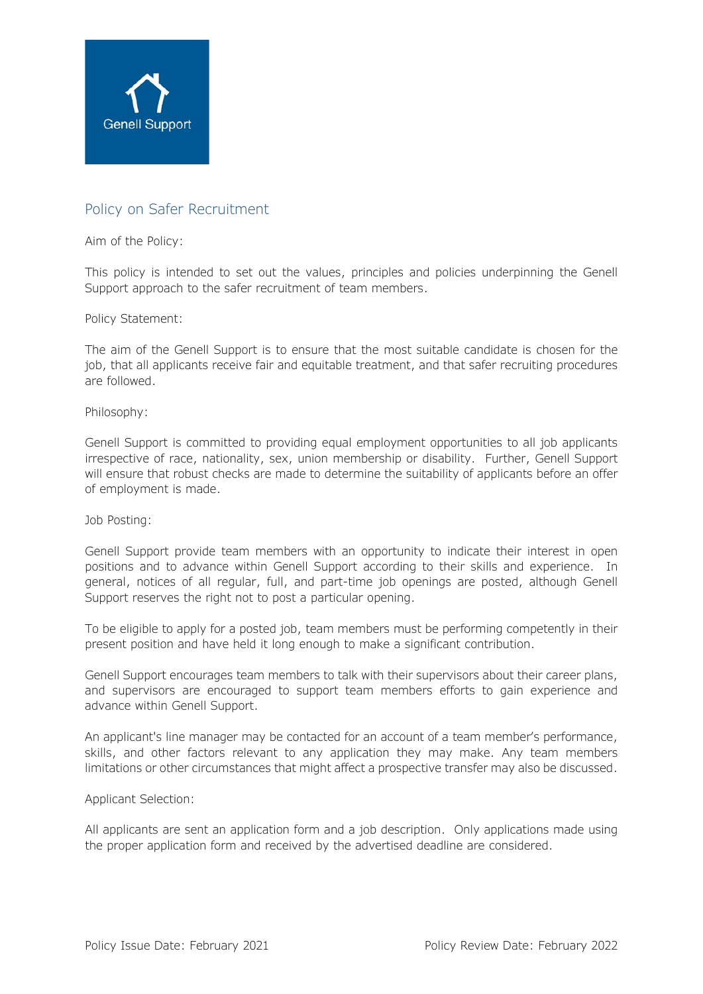

# Policy on Safer Recruitment

## Aim of the Policy:

This policy is intended to set out the values, principles and policies underpinning the Genell Support approach to the safer recruitment of team members.

### Policy Statement:

The aim of the Genell Support is to ensure that the most suitable candidate is chosen for the job, that all applicants receive fair and equitable treatment, and that safer recruiting procedures are followed.

### Philosophy:

Genell Support is committed to providing equal employment opportunities to all job applicants irrespective of race, nationality, sex, union membership or disability. Further, Genell Support will ensure that robust checks are made to determine the suitability of applicants before an offer of employment is made.

### Job Posting:

Genell Support provide team members with an opportunity to indicate their interest in open positions and to advance within Genell Support according to their skills and experience. In general, notices of all regular, full, and part-time job openings are posted, although Genell Support reserves the right not to post a particular opening.

To be eligible to apply for a posted job, team members must be performing competently in their present position and have held it long enough to make a significant contribution.

Genell Support encourages team members to talk with their supervisors about their career plans, and supervisors are encouraged to support team members efforts to gain experience and advance within Genell Support.

An applicant's line manager may be contacted for an account of a team member's performance, skills, and other factors relevant to any application they may make. Any team members limitations or other circumstances that might affect a prospective transfer may also be discussed.

### Applicant Selection:

All applicants are sent an application form and a job description. Only applications made using the proper application form and received by the advertised deadline are considered.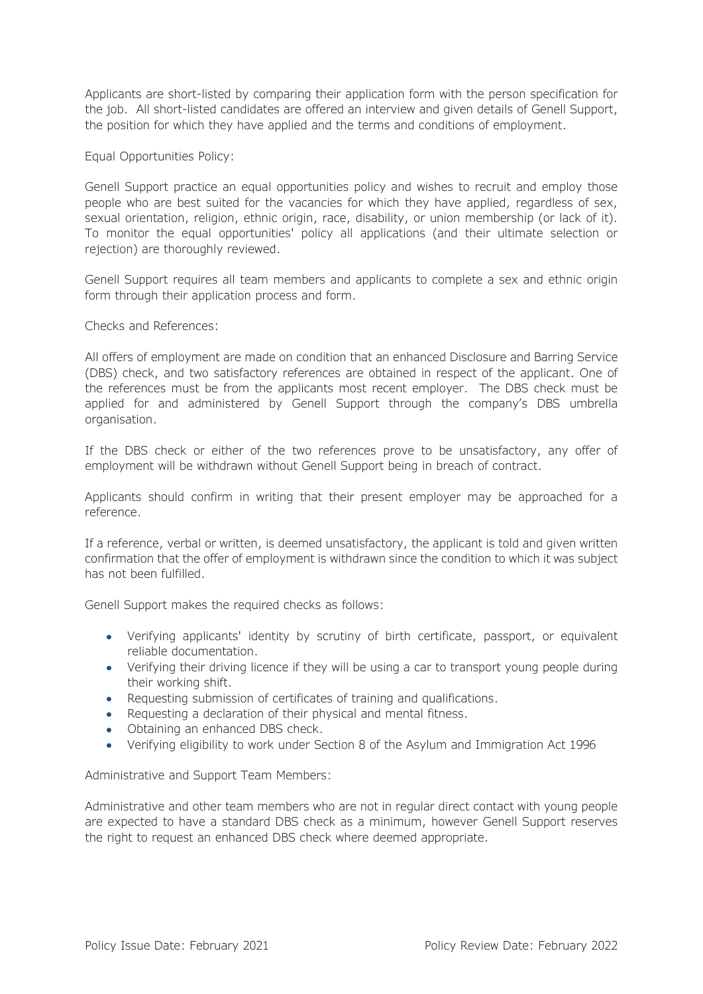Applicants are short-listed by comparing their application form with the person specification for the job. All short-listed candidates are offered an interview and given details of Genell Support, the position for which they have applied and the terms and conditions of employment.

Equal Opportunities Policy:

Genell Support practice an equal opportunities policy and wishes to recruit and employ those people who are best suited for the vacancies for which they have applied, regardless of sex, sexual orientation, religion, ethnic origin, race, disability, or union membership (or lack of it). To monitor the equal opportunities' policy all applications (and their ultimate selection or rejection) are thoroughly reviewed.

Genell Support requires all team members and applicants to complete a sex and ethnic origin form through their application process and form.

Checks and References:

All offers of employment are made on condition that an enhanced Disclosure and Barring Service (DBS) check, and two satisfactory references are obtained in respect of the applicant. One of the references must be from the applicants most recent employer. The DBS check must be applied for and administered by Genell Support through the company's DBS umbrella organisation.

If the DBS check or either of the two references prove to be unsatisfactory, any offer of employment will be withdrawn without Genell Support being in breach of contract.

Applicants should confirm in writing that their present employer may be approached for a reference.

If a reference, verbal or written, is deemed unsatisfactory, the applicant is told and given written confirmation that the offer of employment is withdrawn since the condition to which it was subject has not been fulfilled.

Genell Support makes the required checks as follows:

- Verifying applicants' identity by scrutiny of birth certificate, passport, or equivalent reliable documentation.
- Verifying their driving licence if they will be using a car to transport young people during their working shift.
- Requesting submission of certificates of training and qualifications.
- Requesting a declaration of their physical and mental fitness.
- Obtaining an enhanced DBS check.
- Verifying eligibility to work under Section 8 of the Asylum and Immigration Act 1996

Administrative and Support Team Members:

Administrative and other team members who are not in regular direct contact with young people are expected to have a standard DBS check as a minimum, however Genell Support reserves the right to request an enhanced DBS check where deemed appropriate.